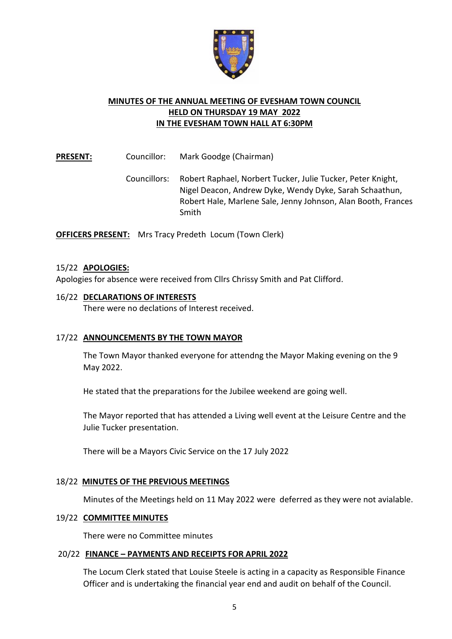

## **MINUTES OF THE ANNUAL MEETING OF EVESHAM TOWN COUNCIL HELD ON THURSDAY 19 MAY 2022 IN THE EVESHAM TOWN HALL AT 6:30PM**

**PRESENT:** Councillor: Mark Goodge (Chairman)

Councillors: Robert Raphael, Norbert Tucker, Julie Tucker, Peter Knight, Nigel Deacon, Andrew Dyke, Wendy Dyke, Sarah Schaathun, Robert Hale, Marlene Sale, Jenny Johnson, Alan Booth, Frances Smith

**OFFICERS PRESENT:** Mrs Tracy Predeth Locum (Town Clerk)

## 15/22 **APOLOGIES:**

Apologies for absence were received from Cllrs Chrissy Smith and Pat Clifford.

# 16/22 **DECLARATIONS OF INTERESTS** There were no declations of Interest received.

## 17/22 **ANNOUNCEMENTS BY THE TOWN MAYOR**

The Town Mayor thanked everyone for attendng the Mayor Making evening on the 9 May 2022.

He stated that the preparations for the Jubilee weekend are going well.

The Mayor reported that has attended a Living well event at the Leisure Centre and the Julie Tucker presentation.

There will be a Mayors Civic Service on the 17 July 2022

## 18/22 **MINUTES OF THE PREVIOUS MEETINGS**

Minutes of the Meetings held on 11 May 2022 were deferred as they were not avialable.

### 19/22 **COMMITTEE MINUTES**

There were no Committee minutes

### 20/22 **FINANCE – PAYMENTS AND RECEIPTS FOR APRIL 2022**

The Locum Clerk stated that Louise Steele is acting in a capacity as Responsible Finance Officer and is undertaking the financial year end and audit on behalf of the Council.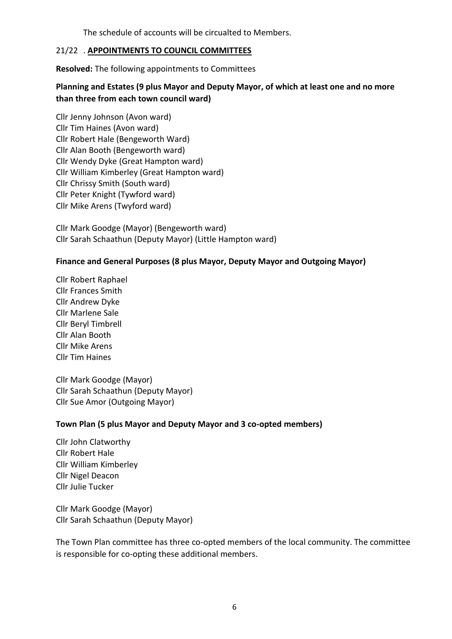The schedule of accounts will be circualted to Members.

## 21/22 . **APPOINTMENTS TO COUNCIL COMMITTEES**

**Resolved:** The following appointments to Committees

## **Planning and Estates (9 plus Mayor and Deputy Mayor, of which at least one and no more than three from each town council ward)**

Cllr Jenny Johnson (Avon ward) Cllr Tim Haines (Avon ward) Cllr Robert Hale (Bengeworth Ward) Cllr Alan Booth (Bengeworth ward) Cllr Wendy Dyke (Great Hampton ward) Cllr William Kimberley (Great Hampton ward) Cllr Chrissy Smith (South ward) Cllr Peter Knight (Tywford ward) Cllr Mike Arens (Twyford ward)

Cllr Mark Goodge (Mayor) (Bengeworth ward) Cllr Sarah Schaathun (Deputy Mayor) (Little Hampton ward)

## **Finance and General Purposes (8 plus Mayor, Deputy Mayor and Outgoing Mayor)**

Cllr Robert Raphael Cllr Frances Smith Cllr Andrew Dyke Cllr Marlene Sale Cllr Beryl Timbrell Cllr Alan Booth Cllr Mike Arens Cllr Tim Haines

Cllr Mark Goodge (Mayor) Cllr Sarah Schaathun (Deputy Mayor) Cllr Sue Amor (Outgoing Mayor)

### **Town Plan (5 plus Mayor and Deputy Mayor and 3 co-opted members)**

Cllr John Clatworthy Cllr Robert Hale Cllr William Kimberley Cllr Nigel Deacon Cllr Julie Tucker

Cllr Mark Goodge (Mayor) Cllr Sarah Schaathun (Deputy Mayor)

The Town Plan committee has three co-opted members of the local community. The committee is responsible for co-opting these additional members.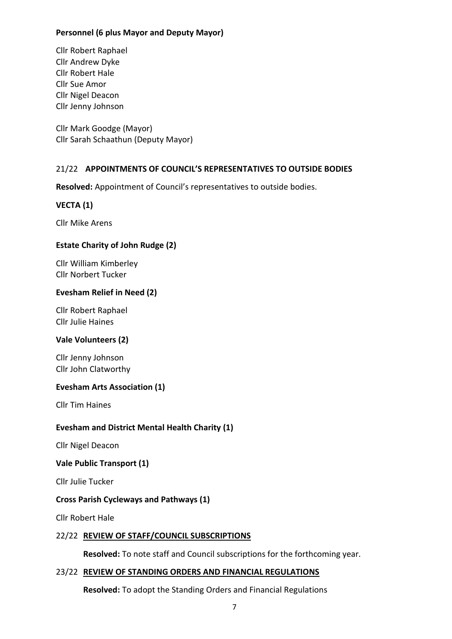## **Personnel (6 plus Mayor and Deputy Mayor)**

Cllr Robert Raphael Cllr Andrew Dyke Cllr Robert Hale Cllr Sue Amor Cllr Nigel Deacon Cllr Jenny Johnson

Cllr Mark Goodge (Mayor) Cllr Sarah Schaathun (Deputy Mayor)

## 21/22 **APPOINTMENTS OF COUNCIL'S REPRESENTATIVES TO OUTSIDE BODIES**

**Resolved:** Appointment of Council's representatives to outside bodies.

## **VECTA (1)**

Cllr Mike Arens

## **Estate Charity of John Rudge (2)**

Cllr William Kimberley Cllr Norbert Tucker

### **Evesham Relief in Need (2)**

Cllr Robert Raphael Cllr Julie Haines

### **Vale Volunteers (2)**

Cllr Jenny Johnson Cllr John Clatworthy

### **Evesham Arts Association (1)**

Cllr Tim Haines

## **Evesham and District Mental Health Charity (1)**

Cllr Nigel Deacon

### **Vale Public Transport (1)**

Cllr Julie Tucker

### **Cross Parish Cycleways and Pathways (1)**

Cllr Robert Hale

### 22/22 **REVIEW OF STAFF/COUNCIL SUBSCRIPTIONS**

**Resolved:** To note staff and Council subscriptions for the forthcoming year.

### 23/22 **REVIEW OF STANDING ORDERS AND FINANCIAL REGULATIONS**

**Resolved:** To adopt the Standing Orders and Financial Regulations